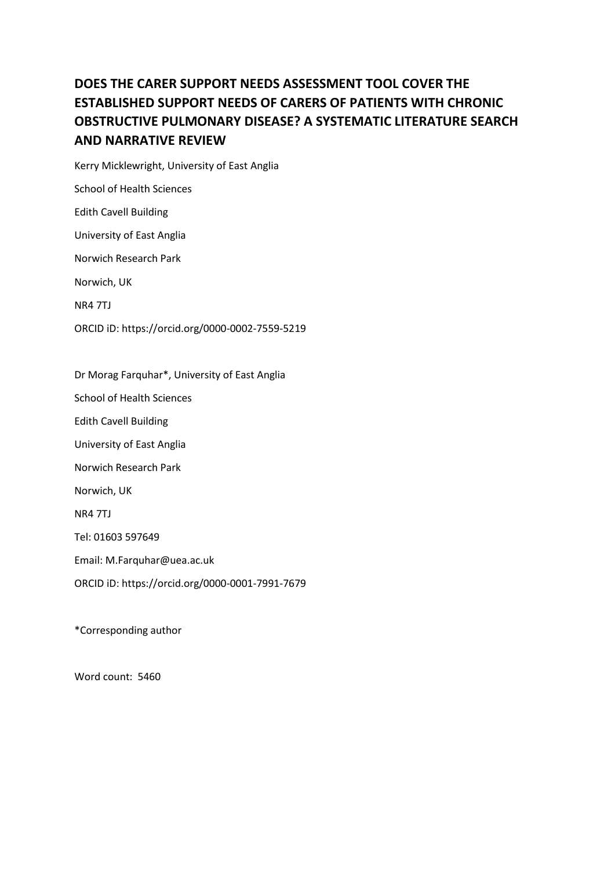# **DOES THE CARER SUPPORT NEEDS ASSESSMENT TOOL COVER THE ESTABLISHED SUPPORT NEEDS OF CARERS OF PATIENTS WITH CHRONIC OBSTRUCTIVE PULMONARY DISEASE? A SYSTEMATIC LITERATURE SEARCH AND NARRATIVE REVIEW**

Kerry Micklewright, University of East Anglia School of Health Sciences Edith Cavell Building University of East Anglia Norwich Research Park Norwich, UK NR4 7TJ ORCID iD: https://orcid.org/0000-0002-7559-5219

Dr Morag Farquhar\*, University of East Anglia

School of Health Sciences

Edith Cavell Building

University of East Anglia

Norwich Research Park

Norwich, UK

NR4 7TJ

Tel: 01603 597649

Email: M.Farquhar@uea.ac.uk

ORCID iD: https://orcid.org/0000-0001-7991-7679

\*Corresponding author

Word count: 5460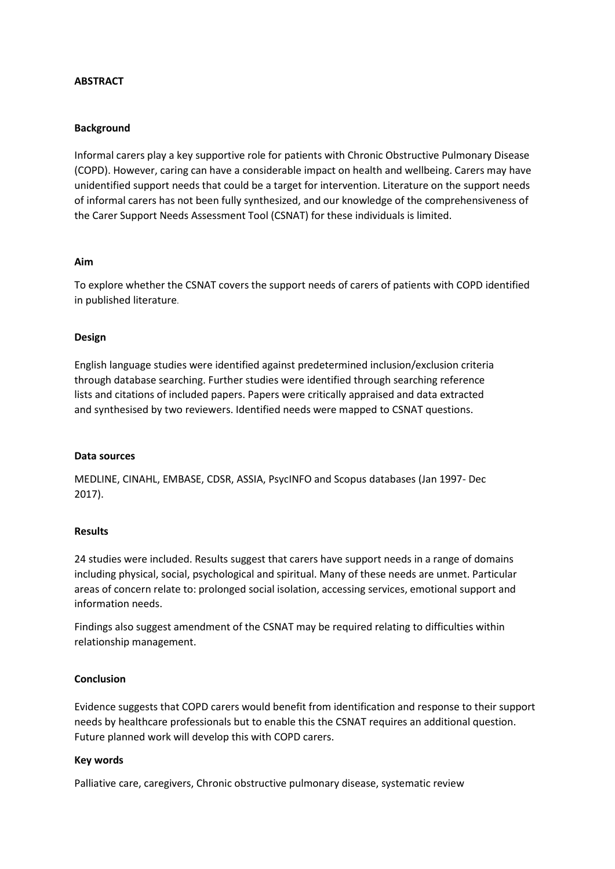# **ABSTRACT**

# **Background**

Informal carers play a key supportive role for patients with Chronic Obstructive Pulmonary Disease (COPD). However, caring can have a considerable impact on health and wellbeing. Carers may have unidentified support needs that could be a target for intervention. Literature on the support needs of informal carers has not been fully synthesized, and our knowledge of the comprehensiveness of the Carer Support Needs Assessment Tool (CSNAT) for these individuals is limited.

# **Aim**

To explore whether the CSNAT covers the support needs of carers of patients with COPD identified in published literature.

# **Design**

English language studies were identified against predetermined inclusion/exclusion criteria through database searching. Further studies were identified through searching reference lists and citations of included papers. Papers were critically appraised and data extracted and synthesised by two reviewers. Identified needs were mapped to CSNAT questions.

# **Data sources**

MEDLINE, CINAHL, EMBASE, CDSR, ASSIA, PsycINFO and Scopus databases (Jan 1997- Dec 2017).

# **Results**

24 studies were included. Results suggest that carers have support needs in a range of domains including physical, social, psychological and spiritual. Many of these needs are unmet. Particular areas of concern relate to: prolonged social isolation, accessing services, emotional support and information needs.

Findings also suggest amendment of the CSNAT may be required relating to difficulties within relationship management.

# **Conclusion**

Evidence suggests that COPD carers would benefit from identification and response to their support needs by healthcare professionals but to enable this the CSNAT requires an additional question. Future planned work will develop this with COPD carers.

# **Key words**

Palliative care, caregivers, Chronic obstructive pulmonary disease, systematic review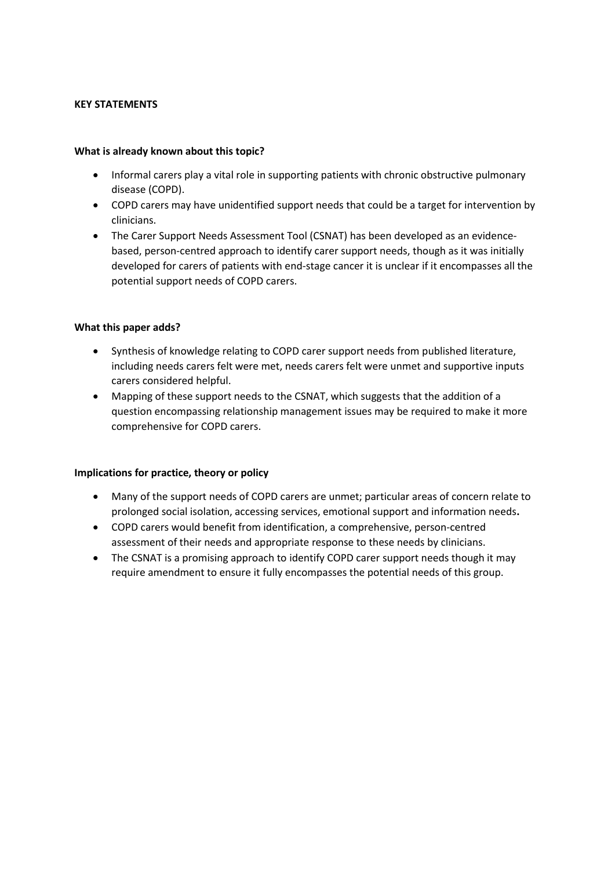# **KEY STATEMENTS**

# **What is already known about this topic?**

- Informal carers play a vital role in supporting patients with chronic obstructive pulmonary disease (COPD).
- COPD carers may have unidentified support needs that could be a target for intervention by clinicians.
- The Carer Support Needs Assessment Tool (CSNAT) has been developed as an evidencebased, person-centred approach to identify carer support needs, though as it was initially developed for carers of patients with end-stage cancer it is unclear if it encompasses all the potential support needs of COPD carers.

# **What this paper adds?**

- Synthesis of knowledge relating to COPD carer support needs from published literature, including needs carers felt were met, needs carers felt were unmet and supportive inputs carers considered helpful.
- Mapping of these support needs to the CSNAT, which suggests that the addition of a question encompassing relationship management issues may be required to make it more comprehensive for COPD carers.

# **Implications for practice, theory or policy**

- Many of the support needs of COPD carers are unmet; particular areas of concern relate to prolonged social isolation, accessing services, emotional support and information needs**.**
- COPD carers would benefit from identification, a comprehensive, person-centred assessment of their needs and appropriate response to these needs by clinicians.
- The CSNAT is a promising approach to identify COPD carer support needs though it may require amendment to ensure it fully encompasses the potential needs of this group.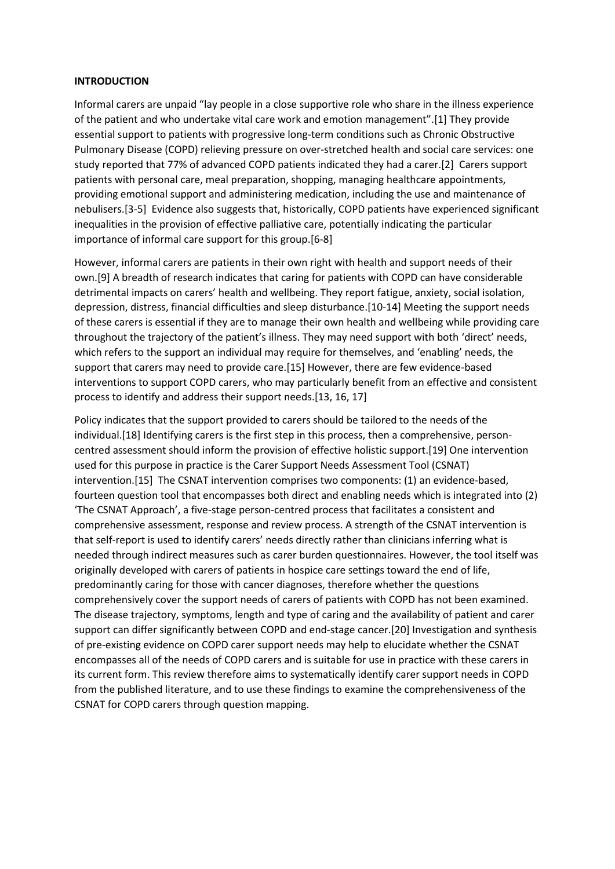#### **INTRODUCTION**

Informal carers are unpaid "lay people in a close supportive role who share in the illness experience of the patient and who undertake vital care work and emotion management".[1] They provide essential support to patients with progressive long-term conditions such as Chronic Obstructive Pulmonary Disease (COPD) relieving pressure on over-stretched health and social care services: one study reported that 77% of advanced COPD patients indicated they had a carer.[2] Carers support patients with personal care, meal preparation, shopping, managing healthcare appointments, providing emotional support and administering medication, including the use and maintenance of nebulisers.[3-5] Evidence also suggests that, historically, COPD patients have experienced significant inequalities in the provision of effective palliative care, potentially indicating the particular importance of informal care support for this group.[6-8]

However, informal carers are patients in their own right with health and support needs of their own.[9] A breadth of research indicates that caring for patients with COPD can have considerable detrimental impacts on carers' health and wellbeing. They report fatigue, anxiety, social isolation, depression, distress, financial difficulties and sleep disturbance.[10-14] Meeting the support needs of these carers is essential if they are to manage their own health and wellbeing while providing care throughout the trajectory of the patient's illness. They may need support with both 'direct' needs, which refers to the support an individual may require for themselves, and 'enabling' needs, the support that carers may need to provide care.[15] However, there are few evidence-based interventions to support COPD carers, who may particularly benefit from an effective and consistent process to identify and address their support needs.[13, 16, 17]

Policy indicates that the support provided to carers should be tailored to the needs of the individual.[18] Identifying carers is the first step in this process, then a comprehensive, personcentred assessment should inform the provision of effective holistic support.[19] One intervention used for this purpose in practice is the Carer Support Needs Assessment Tool (CSNAT) intervention.[15] The CSNAT intervention comprises two components: (1) an evidence-based, fourteen question tool that encompasses both direct and enabling needs which is integrated into (2) 'The CSNAT Approach', a five-stage person-centred process that facilitates a consistent and comprehensive assessment, response and review process. A strength of the CSNAT intervention is that self-report is used to identify carers' needs directly rather than clinicians inferring what is needed through indirect measures such as carer burden questionnaires. However, the tool itself was originally developed with carers of patients in hospice care settings toward the end of life, predominantly caring for those with cancer diagnoses, therefore whether the questions comprehensively cover the support needs of carers of patients with COPD has not been examined. The disease trajectory, symptoms, length and type of caring and the availability of patient and carer support can differ significantly between COPD and end-stage cancer.[20] Investigation and synthesis of pre-existing evidence on COPD carer support needs may help to elucidate whether the CSNAT encompasses all of the needs of COPD carers and is suitable for use in practice with these carers in its current form. This review therefore aims to systematically identify carer support needs in COPD from the published literature, and to use these findings to examine the comprehensiveness of the CSNAT for COPD carers through question mapping.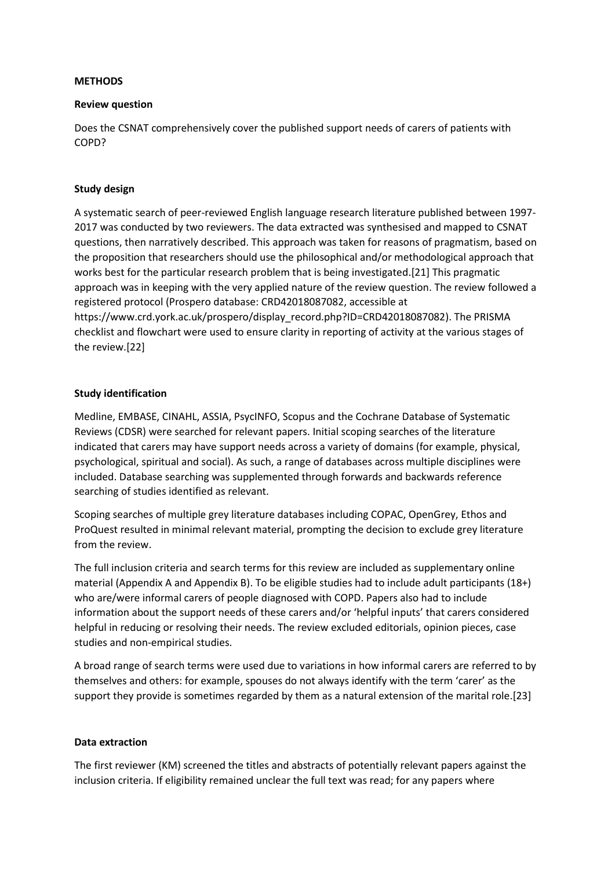#### **METHODS**

#### **Review question**

Does the CSNAT comprehensively cover the published support needs of carers of patients with COPD?

# **Study design**

A systematic search of peer-reviewed English language research literature published between 1997- 2017 was conducted by two reviewers. The data extracted was synthesised and mapped to CSNAT questions, then narratively described. This approach was taken for reasons of pragmatism, based on the proposition that researchers should use the philosophical and/or methodological approach that works best for the particular research problem that is being investigated.[21] This pragmatic approach was in keeping with the very applied nature of the review question. The review followed a registered protocol (Prospero database: CRD42018087082, accessible at https://www.crd.york.ac.uk/prospero/display\_record.php?ID=CRD42018087082). The PRISMA checklist and flowchart were used to ensure clarity in reporting of activity at the various stages of the review.[22]

# **Study identification**

Medline, EMBASE, CINAHL, ASSIA, PsycINFO, Scopus and the Cochrane Database of Systematic Reviews (CDSR) were searched for relevant papers. Initial scoping searches of the literature indicated that carers may have support needs across a variety of domains (for example, physical, psychological, spiritual and social). As such, a range of databases across multiple disciplines were included. Database searching was supplemented through forwards and backwards reference searching of studies identified as relevant.

Scoping searches of multiple grey literature databases including COPAC, OpenGrey, Ethos and ProQuest resulted in minimal relevant material, prompting the decision to exclude grey literature from the review.

The full inclusion criteria and search terms for this review are included as supplementary online material (Appendix A and Appendix B). To be eligible studies had to include adult participants (18+) who are/were informal carers of people diagnosed with COPD. Papers also had to include information about the support needs of these carers and/or 'helpful inputs' that carers considered helpful in reducing or resolving their needs. The review excluded editorials, opinion pieces, case studies and non-empirical studies.

A broad range of search terms were used due to variations in how informal carers are referred to by themselves and others: for example, spouses do not always identify with the term 'carer' as the support they provide is sometimes regarded by them as a natural extension of the marital role.[23]

# **Data extraction**

The first reviewer (KM) screened the titles and abstracts of potentially relevant papers against the inclusion criteria. If eligibility remained unclear the full text was read; for any papers where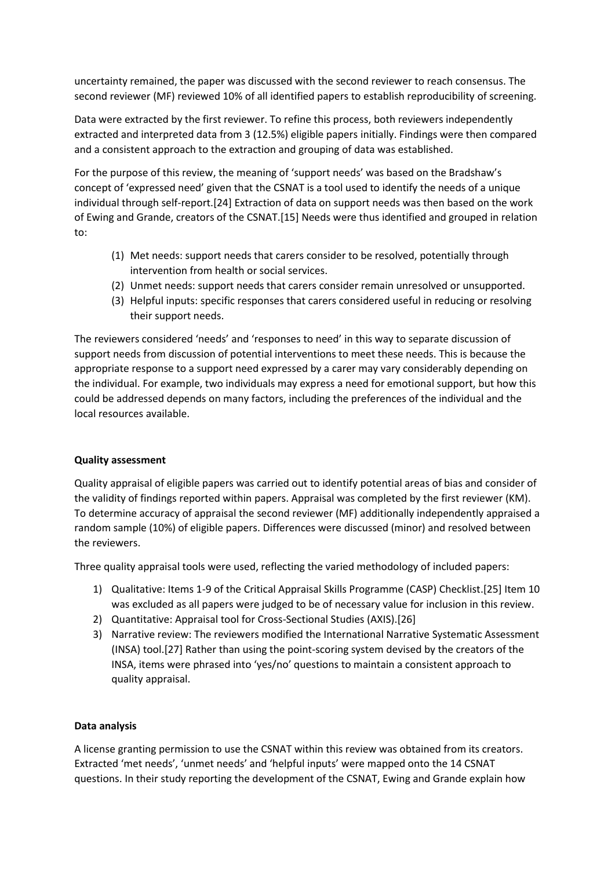uncertainty remained, the paper was discussed with the second reviewer to reach consensus. The second reviewer (MF) reviewed 10% of all identified papers to establish reproducibility of screening.

Data were extracted by the first reviewer. To refine this process, both reviewers independently extracted and interpreted data from 3 (12.5%) eligible papers initially. Findings were then compared and a consistent approach to the extraction and grouping of data was established.

For the purpose of this review, the meaning of 'support needs' was based on the Bradshaw's concept of 'expressed need' given that the CSNAT is a tool used to identify the needs of a unique individual through self-report.[24] Extraction of data on support needs was then based on the work of Ewing and Grande, creators of the CSNAT.[15] Needs were thus identified and grouped in relation to:

- (1) Met needs: support needs that carers consider to be resolved, potentially through intervention from health or social services.
- (2) Unmet needs: support needs that carers consider remain unresolved or unsupported.
- (3) Helpful inputs: specific responses that carers considered useful in reducing or resolving their support needs.

The reviewers considered 'needs' and 'responses to need' in this way to separate discussion of support needs from discussion of potential interventions to meet these needs. This is because the appropriate response to a support need expressed by a carer may vary considerably depending on the individual. For example, two individuals may express a need for emotional support, but how this could be addressed depends on many factors, including the preferences of the individual and the local resources available.

# **Quality assessment**

Quality appraisal of eligible papers was carried out to identify potential areas of bias and consider of the validity of findings reported within papers. Appraisal was completed by the first reviewer (KM). To determine accuracy of appraisal the second reviewer (MF) additionally independently appraised a random sample (10%) of eligible papers. Differences were discussed (minor) and resolved between the reviewers.

Three quality appraisal tools were used, reflecting the varied methodology of included papers:

- 1) Qualitative: Items 1-9 of the Critical Appraisal Skills Programme (CASP) Checklist.[25] Item 10 was excluded as all papers were judged to be of necessary value for inclusion in this review.
- 2) Quantitative: Appraisal tool for Cross-Sectional Studies (AXIS).[26]
- 3) Narrative review: The reviewers modified the International Narrative Systematic Assessment (INSA) tool.[27] Rather than using the point-scoring system devised by the creators of the INSA, items were phrased into 'yes/no' questions to maintain a consistent approach to quality appraisal.

# **Data analysis**

A license granting permission to use the CSNAT within this review was obtained from its creators. Extracted 'met needs', 'unmet needs' and 'helpful inputs' were mapped onto the 14 CSNAT questions. In their study reporting the development of the CSNAT, Ewing and Grande explain how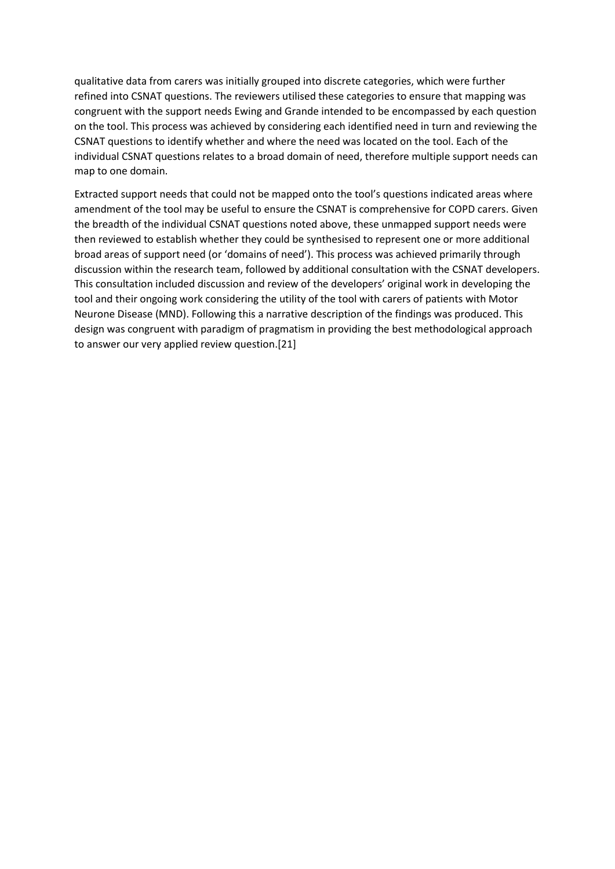qualitative data from carers was initially grouped into discrete categories, which were further refined into CSNAT questions. The reviewers utilised these categories to ensure that mapping was congruent with the support needs Ewing and Grande intended to be encompassed by each question on the tool. This process was achieved by considering each identified need in turn and reviewing the CSNAT questions to identify whether and where the need was located on the tool. Each of the individual CSNAT questions relates to a broad domain of need, therefore multiple support needs can map to one domain.

Extracted support needs that could not be mapped onto the tool's questions indicated areas where amendment of the tool may be useful to ensure the CSNAT is comprehensive for COPD carers. Given the breadth of the individual CSNAT questions noted above, these unmapped support needs were then reviewed to establish whether they could be synthesised to represent one or more additional broad areas of support need (or 'domains of need'). This process was achieved primarily through discussion within the research team, followed by additional consultation with the CSNAT developers. This consultation included discussion and review of the developers' original work in developing the tool and their ongoing work considering the utility of the tool with carers of patients with Motor Neurone Disease (MND). Following this a narrative description of the findings was produced. This design was congruent with paradigm of pragmatism in providing the best methodological approach to answer our very applied review question.[21]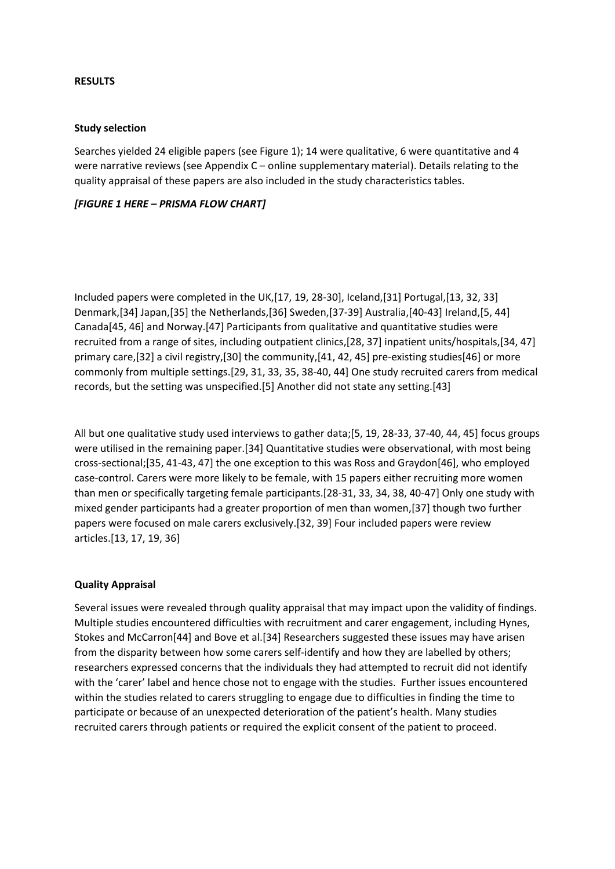#### **RESULTS**

#### **Study selection**

Searches yielded 24 eligible papers (see Figure 1); 14 were qualitative, 6 were quantitative and 4 were narrative reviews (see Appendix C – online supplementary material). Details relating to the quality appraisal of these papers are also included in the study characteristics tables.

# *[FIGURE 1 HERE – PRISMA FLOW CHART]*

Included papers were completed in the UK,[17, 19, 28-30], Iceland,[31] Portugal,[13, 32, 33] Denmark,[34] Japan,[35] the Netherlands,[36] Sweden,[37-39] Australia,[40-43] Ireland,[5, 44] Canada[45, 46] and Norway.[47] Participants from qualitative and quantitative studies were recruited from a range of sites, including outpatient clinics,[28, 37] inpatient units/hospitals,[34, 47] primary care,[32] a civil registry,[30] the community,[41, 42, 45] pre-existing studies[46] or more commonly from multiple settings.[29, 31, 33, 35, 38-40, 44] One study recruited carers from medical records, but the setting was unspecified.[5] Another did not state any setting.[43]

All but one qualitative study used interviews to gather data;[5, 19, 28-33, 37-40, 44, 45] focus groups were utilised in the remaining paper.[34] Quantitative studies were observational, with most being cross-sectional;[35, 41-43, 47] the one exception to this was Ross and Graydon[46], who employed case-control. Carers were more likely to be female, with 15 papers either recruiting more women than men or specifically targeting female participants.[28-31, 33, 34, 38, 40-47] Only one study with mixed gender participants had a greater proportion of men than women,[37] though two further papers were focused on male carers exclusively.[32, 39] Four included papers were review articles.[13, 17, 19, 36]

# **Quality Appraisal**

Several issues were revealed through quality appraisal that may impact upon the validity of findings. Multiple studies encountered difficulties with recruitment and carer engagement, including Hynes, Stokes and McCarron[44] and Bove et al.[34] Researchers suggested these issues may have arisen from the disparity between how some carers self-identify and how they are labelled by others; researchers expressed concerns that the individuals they had attempted to recruit did not identify with the 'carer' label and hence chose not to engage with the studies. Further issues encountered within the studies related to carers struggling to engage due to difficulties in finding the time to participate or because of an unexpected deterioration of the patient's health. Many studies recruited carers through patients or required the explicit consent of the patient to proceed.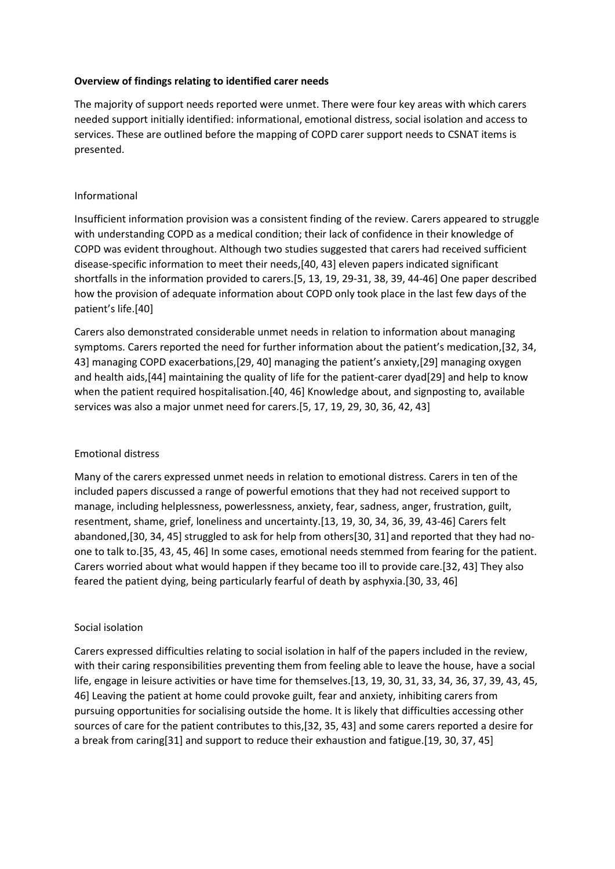# **Overview of findings relating to identified carer needs**

The majority of support needs reported were unmet. There were four key areas with which carers needed support initially identified: informational, emotional distress, social isolation and access to services. These are outlined before the mapping of COPD carer support needs to CSNAT items is presented.

# Informational

Insufficient information provision was a consistent finding of the review. Carers appeared to struggle with understanding COPD as a medical condition; their lack of confidence in their knowledge of COPD was evident throughout. Although two studies suggested that carers had received sufficient disease-specific information to meet their needs,[40, 43] eleven papers indicated significant shortfalls in the information provided to carers.[5, 13, 19, 29-31, 38, 39, 44-46] One paper described how the provision of adequate information about COPD only took place in the last few days of the patient's life.[40]

Carers also demonstrated considerable unmet needs in relation to information about managing symptoms. Carers reported the need for further information about the patient's medication,[32, 34, 43] managing COPD exacerbations,[29, 40] managing the patient's anxiety,[29] managing oxygen and health aids,[44] maintaining the quality of life for the patient-carer dyad[29] and help to know when the patient required hospitalisation.[40, 46] Knowledge about, and signposting to, available services was also a major unmet need for carers.[5, 17, 19, 29, 30, 36, 42, 43]

# Emotional distress

Many of the carers expressed unmet needs in relation to emotional distress. Carers in ten of the included papers discussed a range of powerful emotions that they had not received support to manage, including helplessness, powerlessness, anxiety, fear, sadness, anger, frustration, guilt, resentment, shame, grief, loneliness and uncertainty.[13, 19, 30, 34, 36, 39, 43-46] Carers felt abandoned,[30, 34, 45] struggled to ask for help from others[30, 31] and reported that they had noone to talk to.[35, 43, 45, 46] In some cases, emotional needs stemmed from fearing for the patient. Carers worried about what would happen if they became too ill to provide care.[32, 43] They also feared the patient dying, being particularly fearful of death by asphyxia.[30, 33, 46]

# Social isolation

Carers expressed difficulties relating to social isolation in half of the papers included in the review, with their caring responsibilities preventing them from feeling able to leave the house, have a social life, engage in leisure activities or have time for themselves.[13, 19, 30, 31, 33, 34, 36, 37, 39, 43, 45, 46] Leaving the patient at home could provoke guilt, fear and anxiety, inhibiting carers from pursuing opportunities for socialising outside the home. It is likely that difficulties accessing other sources of care for the patient contributes to this,[32, 35, 43] and some carers reported a desire for a break from caring[31] and support to reduce their exhaustion and fatigue.[19, 30, 37, 45]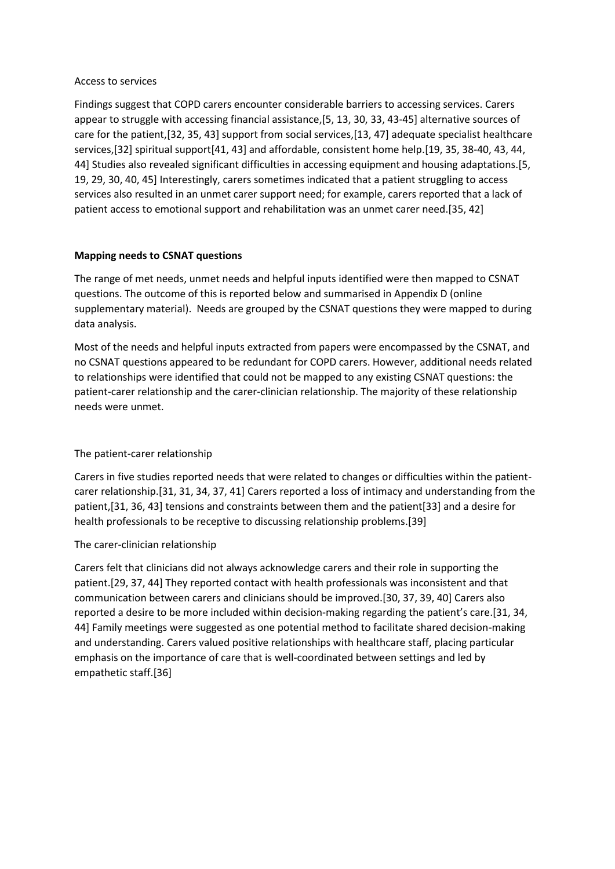#### Access to services

Findings suggest that COPD carers encounter considerable barriers to accessing services. Carers appear to struggle with accessing financial assistance,[5, 13, 30, 33, 43-45] alternative sources of care for the patient,[32, 35, 43] support from social services,[13, 47] adequate specialist healthcare services,[32] spiritual support[41, 43] and affordable, consistent home help.[19, 35, 38-40, 43, 44, 44] Studies also revealed significant difficulties in accessing equipment and housing adaptations.[5, 19, 29, 30, 40, 45] Interestingly, carers sometimes indicated that a patient struggling to access services also resulted in an unmet carer support need; for example, carers reported that a lack of patient access to emotional support and rehabilitation was an unmet carer need.[35, 42]

# **Mapping needs to CSNAT questions**

The range of met needs, unmet needs and helpful inputs identified were then mapped to CSNAT questions. The outcome of this is reported below and summarised in Appendix D (online supplementary material). Needs are grouped by the CSNAT questions they were mapped to during data analysis.

Most of the needs and helpful inputs extracted from papers were encompassed by the CSNAT, and no CSNAT questions appeared to be redundant for COPD carers. However, additional needs related to relationships were identified that could not be mapped to any existing CSNAT questions: the patient-carer relationship and the carer-clinician relationship. The majority of these relationship needs were unmet.

# The patient-carer relationship

Carers in five studies reported needs that were related to changes or difficulties within the patientcarer relationship.[31, 31, 34, 37, 41] Carers reported a loss of intimacy and understanding from the patient,[31, 36, 43] tensions and constraints between them and the patient[33] and a desire for health professionals to be receptive to discussing relationship problems.[39]

# The carer-clinician relationship

Carers felt that clinicians did not always acknowledge carers and their role in supporting the patient.[29, 37, 44] They reported contact with health professionals was inconsistent and that communication between carers and clinicians should be improved.[30, 37, 39, 40] Carers also reported a desire to be more included within decision-making regarding the patient's care.[31, 34, 44] Family meetings were suggested as one potential method to facilitate shared decision-making and understanding. Carers valued positive relationships with healthcare staff, placing particular emphasis on the importance of care that is well-coordinated between settings and led by empathetic staff.[36]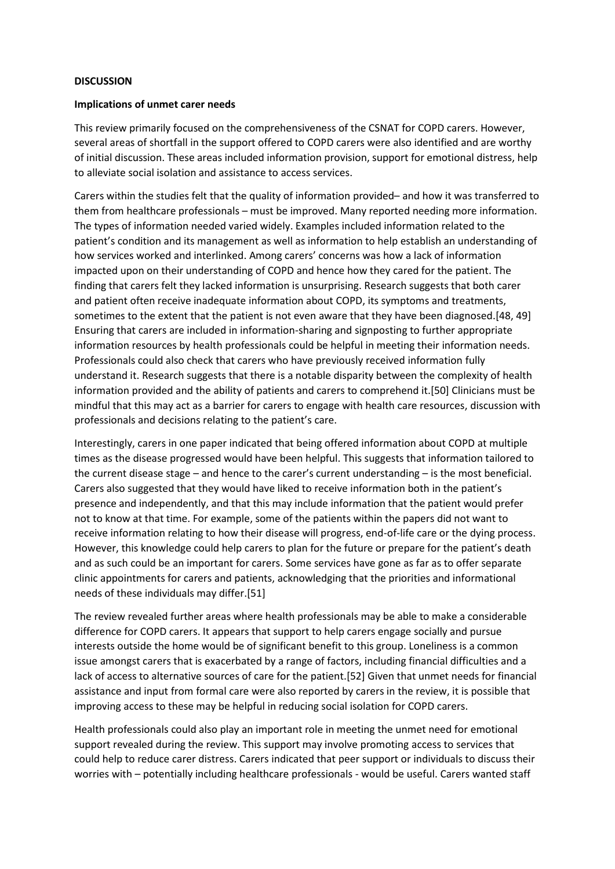#### **DISCUSSION**

#### **Implications of unmet carer needs**

This review primarily focused on the comprehensiveness of the CSNAT for COPD carers. However, several areas of shortfall in the support offered to COPD carers were also identified and are worthy of initial discussion. These areas included information provision, support for emotional distress, help to alleviate social isolation and assistance to access services.

Carers within the studies felt that the quality of information provided– and how it was transferred to them from healthcare professionals – must be improved. Many reported needing more information. The types of information needed varied widely. Examples included information related to the patient's condition and its management as well as information to help establish an understanding of how services worked and interlinked. Among carers' concerns was how a lack of information impacted upon on their understanding of COPD and hence how they cared for the patient. The finding that carers felt they lacked information is unsurprising. Research suggests that both carer and patient often receive inadequate information about COPD, its symptoms and treatments, sometimes to the extent that the patient is not even aware that they have been diagnosed.[48, 49] Ensuring that carers are included in information-sharing and signposting to further appropriate information resources by health professionals could be helpful in meeting their information needs. Professionals could also check that carers who have previously received information fully understand it. Research suggests that there is a notable disparity between the complexity of health information provided and the ability of patients and carers to comprehend it.[50] Clinicians must be mindful that this may act as a barrier for carers to engage with health care resources, discussion with professionals and decisions relating to the patient's care.

Interestingly, carers in one paper indicated that being offered information about COPD at multiple times as the disease progressed would have been helpful. This suggests that information tailored to the current disease stage – and hence to the carer's current understanding – is the most beneficial. Carers also suggested that they would have liked to receive information both in the patient's presence and independently, and that this may include information that the patient would prefer not to know at that time. For example, some of the patients within the papers did not want to receive information relating to how their disease will progress, end-of-life care or the dying process. However, this knowledge could help carers to plan for the future or prepare for the patient's death and as such could be an important for carers. Some services have gone as far as to offer separate clinic appointments for carers and patients, acknowledging that the priorities and informational needs of these individuals may differ.[51]

The review revealed further areas where health professionals may be able to make a considerable difference for COPD carers. It appears that support to help carers engage socially and pursue interests outside the home would be of significant benefit to this group. Loneliness is a common issue amongst carers that is exacerbated by a range of factors, including financial difficulties and a lack of access to alternative sources of care for the patient.[52] Given that unmet needs for financial assistance and input from formal care were also reported by carers in the review, it is possible that improving access to these may be helpful in reducing social isolation for COPD carers.

Health professionals could also play an important role in meeting the unmet need for emotional support revealed during the review. This support may involve promoting access to services that could help to reduce carer distress. Carers indicated that peer support or individuals to discuss their worries with – potentially including healthcare professionals - would be useful. Carers wanted staff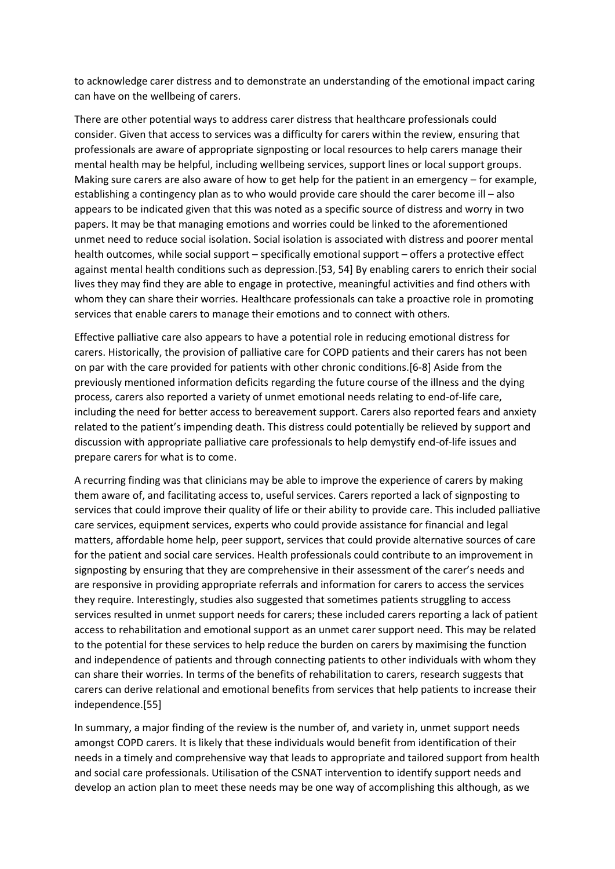to acknowledge carer distress and to demonstrate an understanding of the emotional impact caring can have on the wellbeing of carers.

There are other potential ways to address carer distress that healthcare professionals could consider. Given that access to services was a difficulty for carers within the review, ensuring that professionals are aware of appropriate signposting or local resources to help carers manage their mental health may be helpful, including wellbeing services, support lines or local support groups. Making sure carers are also aware of how to get help for the patient in an emergency – for example, establishing a contingency plan as to who would provide care should the carer become ill – also appears to be indicated given that this was noted as a specific source of distress and worry in two papers. It may be that managing emotions and worries could be linked to the aforementioned unmet need to reduce social isolation. Social isolation is associated with distress and poorer mental health outcomes, while social support – specifically emotional support – offers a protective effect against mental health conditions such as depression.[53, 54] By enabling carers to enrich their social lives they may find they are able to engage in protective, meaningful activities and find others with whom they can share their worries. Healthcare professionals can take a proactive role in promoting services that enable carers to manage their emotions and to connect with others.

Effective palliative care also appears to have a potential role in reducing emotional distress for carers. Historically, the provision of palliative care for COPD patients and their carers has not been on par with the care provided for patients with other chronic conditions.[6-8] Aside from the previously mentioned information deficits regarding the future course of the illness and the dying process, carers also reported a variety of unmet emotional needs relating to end-of-life care, including the need for better access to bereavement support. Carers also reported fears and anxiety related to the patient's impending death. This distress could potentially be relieved by support and discussion with appropriate palliative care professionals to help demystify end-of-life issues and prepare carers for what is to come.

A recurring finding was that clinicians may be able to improve the experience of carers by making them aware of, and facilitating access to, useful services. Carers reported a lack of signposting to services that could improve their quality of life or their ability to provide care. This included palliative care services, equipment services, experts who could provide assistance for financial and legal matters, affordable home help, peer support, services that could provide alternative sources of care for the patient and social care services. Health professionals could contribute to an improvement in signposting by ensuring that they are comprehensive in their assessment of the carer's needs and are responsive in providing appropriate referrals and information for carers to access the services they require. Interestingly, studies also suggested that sometimes patients struggling to access services resulted in unmet support needs for carers; these included carers reporting a lack of patient access to rehabilitation and emotional support as an unmet carer support need. This may be related to the potential for these services to help reduce the burden on carers by maximising the function and independence of patients and through connecting patients to other individuals with whom they can share their worries. In terms of the benefits of rehabilitation to carers, research suggests that carers can derive relational and emotional benefits from services that help patients to increase their independence.[55]

In summary, a major finding of the review is the number of, and variety in, unmet support needs amongst COPD carers. It is likely that these individuals would benefit from identification of their needs in a timely and comprehensive way that leads to appropriate and tailored support from health and social care professionals. Utilisation of the CSNAT intervention to identify support needs and develop an action plan to meet these needs may be one way of accomplishing this although, as we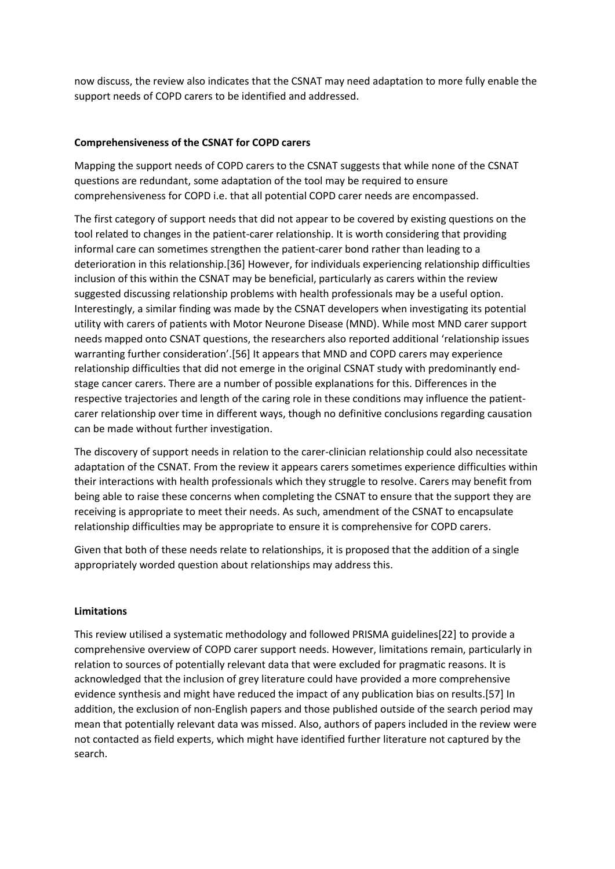now discuss, the review also indicates that the CSNAT may need adaptation to more fully enable the support needs of COPD carers to be identified and addressed.

# **Comprehensiveness of the CSNAT for COPD carers**

Mapping the support needs of COPD carers to the CSNAT suggests that while none of the CSNAT questions are redundant, some adaptation of the tool may be required to ensure comprehensiveness for COPD i.e. that all potential COPD carer needs are encompassed.

The first category of support needs that did not appear to be covered by existing questions on the tool related to changes in the patient-carer relationship. It is worth considering that providing informal care can sometimes strengthen the patient-carer bond rather than leading to a deterioration in this relationship.[36] However, for individuals experiencing relationship difficulties inclusion of this within the CSNAT may be beneficial, particularly as carers within the review suggested discussing relationship problems with health professionals may be a useful option. Interestingly, a similar finding was made by the CSNAT developers when investigating its potential utility with carers of patients with Motor Neurone Disease (MND). While most MND carer support needs mapped onto CSNAT questions, the researchers also reported additional 'relationship issues warranting further consideration'.[56] It appears that MND and COPD carers may experience relationship difficulties that did not emerge in the original CSNAT study with predominantly endstage cancer carers. There are a number of possible explanations for this. Differences in the respective trajectories and length of the caring role in these conditions may influence the patientcarer relationship over time in different ways, though no definitive conclusions regarding causation can be made without further investigation.

The discovery of support needs in relation to the carer-clinician relationship could also necessitate adaptation of the CSNAT. From the review it appears carers sometimes experience difficulties within their interactions with health professionals which they struggle to resolve. Carers may benefit from being able to raise these concerns when completing the CSNAT to ensure that the support they are receiving is appropriate to meet their needs. As such, amendment of the CSNAT to encapsulate relationship difficulties may be appropriate to ensure it is comprehensive for COPD carers.

Given that both of these needs relate to relationships, it is proposed that the addition of a single appropriately worded question about relationships may address this.

# **Limitations**

This review utilised a systematic methodology and followed PRISMA guidelines[22] to provide a comprehensive overview of COPD carer support needs. However, limitations remain, particularly in relation to sources of potentially relevant data that were excluded for pragmatic reasons. It is acknowledged that the inclusion of grey literature could have provided a more comprehensive evidence synthesis and might have reduced the impact of any publication bias on results.[57] In addition, the exclusion of non-English papers and those published outside of the search period may mean that potentially relevant data was missed. Also, authors of papers included in the review were not contacted as field experts, which might have identified further literature not captured by the search.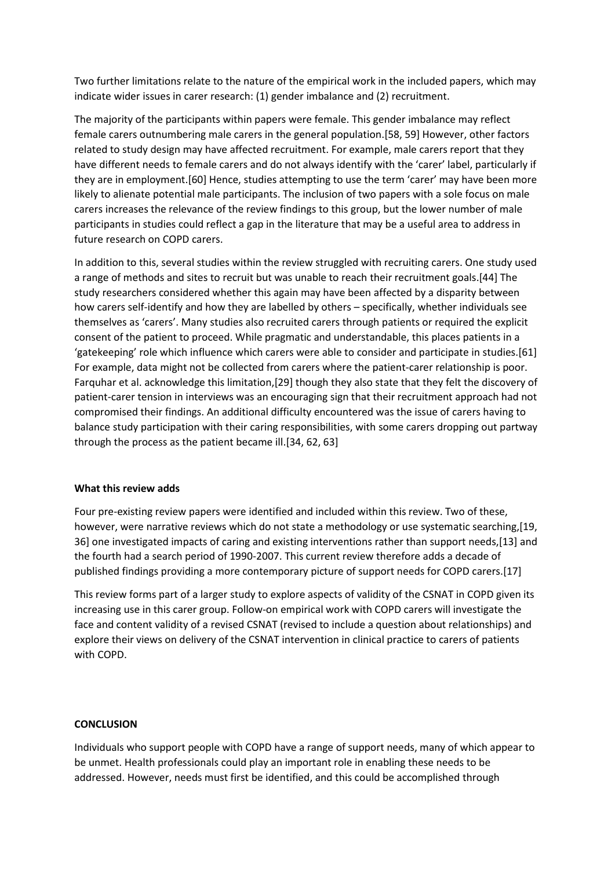Two further limitations relate to the nature of the empirical work in the included papers, which may indicate wider issues in carer research: (1) gender imbalance and (2) recruitment.

The majority of the participants within papers were female. This gender imbalance may reflect female carers outnumbering male carers in the general population.[58, 59] However, other factors related to study design may have affected recruitment. For example, male carers report that they have different needs to female carers and do not always identify with the 'carer' label, particularly if they are in employment.[60] Hence, studies attempting to use the term 'carer' may have been more likely to alienate potential male participants. The inclusion of two papers with a sole focus on male carers increases the relevance of the review findings to this group, but the lower number of male participants in studies could reflect a gap in the literature that may be a useful area to address in future research on COPD carers.

In addition to this, several studies within the review struggled with recruiting carers. One study used a range of methods and sites to recruit but was unable to reach their recruitment goals.[44] The study researchers considered whether this again may have been affected by a disparity between how carers self-identify and how they are labelled by others – specifically, whether individuals see themselves as 'carers'. Many studies also recruited carers through patients or required the explicit consent of the patient to proceed. While pragmatic and understandable, this places patients in a 'gatekeeping' role which influence which carers were able to consider and participate in studies.[61] For example, data might not be collected from carers where the patient-carer relationship is poor. Farquhar et al. acknowledge this limitation,[29] though they also state that they felt the discovery of patient-carer tension in interviews was an encouraging sign that their recruitment approach had not compromised their findings. An additional difficulty encountered was the issue of carers having to balance study participation with their caring responsibilities, with some carers dropping out partway through the process as the patient became ill.[34, 62, 63]

# **What this review adds**

Four pre-existing review papers were identified and included within this review. Two of these, however, were narrative reviews which do not state a methodology or use systematic searching,[19, 36] one investigated impacts of caring and existing interventions rather than support needs,[13] and the fourth had a search period of 1990-2007. This current review therefore adds a decade of published findings providing a more contemporary picture of support needs for COPD carers.[17]

This review forms part of a larger study to explore aspects of validity of the CSNAT in COPD given its increasing use in this carer group. Follow-on empirical work with COPD carers will investigate the face and content validity of a revised CSNAT (revised to include a question about relationships) and explore their views on delivery of the CSNAT intervention in clinical practice to carers of patients with COPD.

# **CONCLUSION**

Individuals who support people with COPD have a range of support needs, many of which appear to be unmet. Health professionals could play an important role in enabling these needs to be addressed. However, needs must first be identified, and this could be accomplished through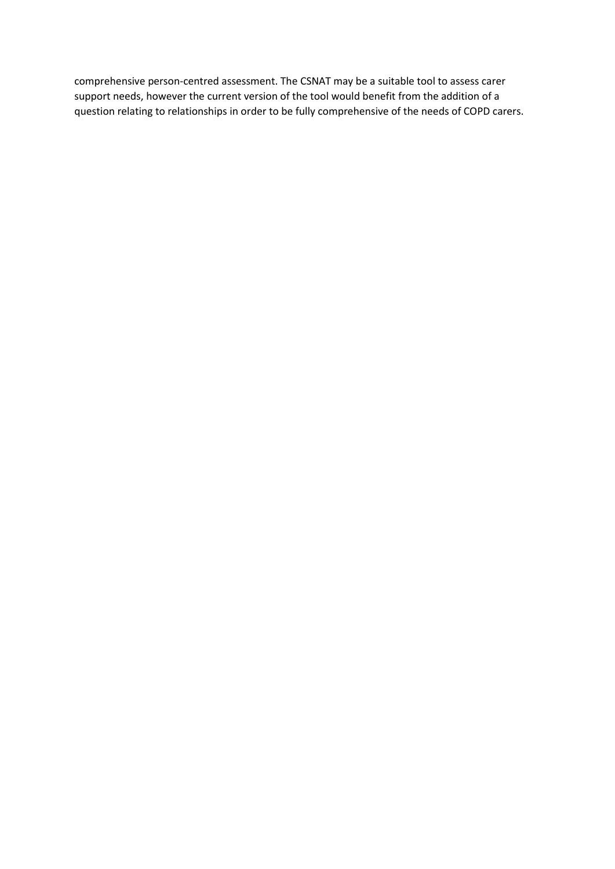comprehensive person-centred assessment. The CSNAT may be a suitable tool to assess carer support needs, however the current version of the tool would benefit from the addition of a question relating to relationships in order to be fully comprehensive of the needs of COPD carers.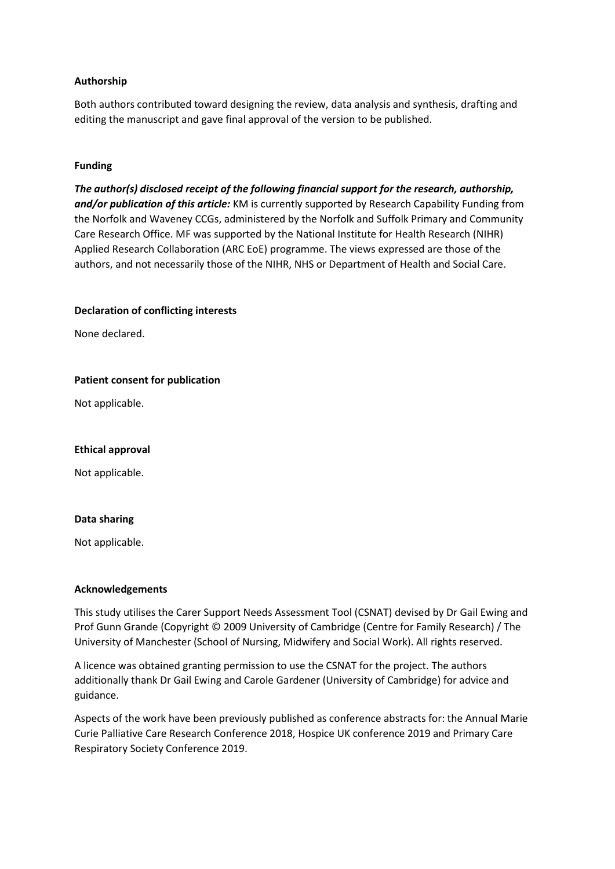# **Authorship**

Both authors contributed toward designing the review, data analysis and synthesis, drafting and editing the manuscript and gave final approval of the version to be published.

# **Funding**

*The author(s) disclosed receipt of the following financial support for the research, authorship, and/or publication of this article:* KM is currently supported by Research Capability Funding from the Norfolk and Waveney CCGs, administered by the Norfolk and Suffolk Primary and Community Care Research Office. MF was supported by the National Institute for Health Research (NIHR) Applied Research Collaboration (ARC EoE) programme. The views expressed are those of the authors, and not necessarily those of the NIHR, NHS or Department of Health and Social Care.

#### **Declaration of conflicting interests**

None declared.

#### **Patient consent for publication**

Not applicable.

# **Ethical approval**

Not applicable.

# **Data sharing**

Not applicable.

# **Acknowledgements**

This study utilises the Carer Support Needs Assessment Tool (CSNAT) devised by Dr Gail Ewing and Prof Gunn Grande (Copyright © 2009 University of Cambridge (Centre for Family Research) / The University of Manchester (School of Nursing, Midwifery and Social Work). All rights reserved.

A licence was obtained granting permission to use the CSNAT for the project. The authors additionally thank Dr Gail Ewing and Carole Gardener (University of Cambridge) for advice and guidance.

Aspects of the work have been previously published as conference abstracts for: the Annual Marie Curie Palliative Care Research Conference 2018, Hospice UK conference 2019 and Primary Care Respiratory Society Conference 2019.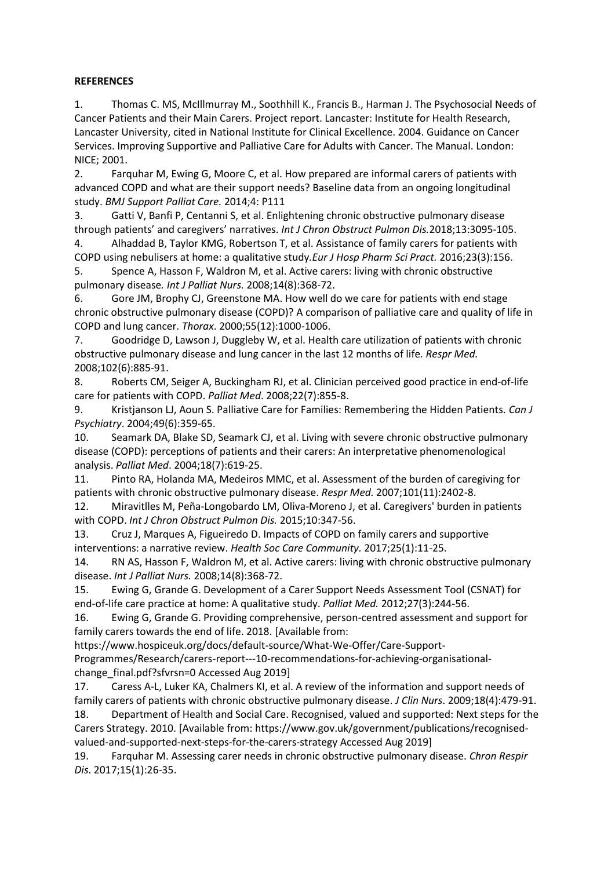# **REFERENCES**

1. Thomas C. MS, McIllmurray M., Soothhill K., Francis B., Harman J. The Psychosocial Needs of Cancer Patients and their Main Carers. Project report. Lancaster: Institute for Health Research, Lancaster University, cited in National Institute for Clinical Excellence. 2004. Guidance on Cancer Services. Improving Supportive and Palliative Care for Adults with Cancer. The Manual. London: NICE; 2001.

2. Farquhar M, Ewing G, Moore C, et al. How prepared are informal carers of patients with advanced COPD and what are their support needs? Baseline data from an ongoing longitudinal study. *BMJ Support Palliat Care.* 2014;4: P111

3. Gatti V, Banfi P, Centanni S, et al. Enlightening chronic obstructive pulmonary disease through patients' and caregivers' narratives. *Int J Chron Obstruct Pulmon Dis.*2018;13:3095-105.

4. Alhaddad B, Taylor KMG, Robertson T, et al. Assistance of family carers for patients with COPD using nebulisers at home: a qualitative study*.Eur J Hosp Pharm Sci Pract.* 2016;23(3):156. 5. Spence A, Hasson F, Waldron M, et al. Active carers: living with chronic obstructive

pulmonary disease*. Int J Palliat Nurs.* 2008;14(8):368-72.

6. Gore JM, Brophy CJ, Greenstone MA. How well do we care for patients with end stage chronic obstructive pulmonary disease (COPD)? A comparison of palliative care and quality of life in COPD and lung cancer. *Thorax*. 2000;55(12):1000-1006.

7. Goodridge D, Lawson J, Duggleby W, et al. Health care utilization of patients with chronic obstructive pulmonary disease and lung cancer in the last 12 months of life*. Respr Med.* 2008;102(6):885-91.

8. Roberts CM, Seiger A, Buckingham RJ, et al. Clinician perceived good practice in end-of-life care for patients with COPD. *Palliat Med*. 2008;22(7):855-8.

9. Kristjanson LJ, Aoun S. Palliative Care for Families: Remembering the Hidden Patients. *Can J Psychiatry*. 2004;49(6):359-65.

10. Seamark DA, Blake SD, Seamark CJ, et al. Living with severe chronic obstructive pulmonary disease (COPD): perceptions of patients and their carers: An interpretative phenomenological analysis. *Palliat Med*. 2004;18(7):619-25.

11. Pinto RA, Holanda MA, Medeiros MMC, et al. Assessment of the burden of caregiving for patients with chronic obstructive pulmonary disease. *Respr Med.* 2007;101(11):2402-8.

12. Miravitlles M, Peña-Longobardo LM, Oliva-Moreno J, et al. Caregivers' burden in patients with COPD. *Int J Chron Obstruct Pulmon Dis.* 2015;10:347-56.

13. Cruz J, Marques A, Figueiredo D. Impacts of COPD on family carers and supportive interventions: a narrative review. *Health Soc Care Community.* 2017;25(1):11-25.

14. RN AS, Hasson F, Waldron M, et al. Active carers: living with chronic obstructive pulmonary disease. *Int J Palliat Nurs.* 2008;14(8):368-72.

15. Ewing G, Grande G. Development of a Carer Support Needs Assessment Tool (CSNAT) for end-of-life care practice at home: A qualitative study. *Palliat Med.* 2012;27(3):244-56.

16. Ewing G, Grande G. Providing comprehensive, person-centred assessment and support for family carers towards the end of life. 2018. [Available from:

https://www.hospiceuk.org/docs/default-source/What-We-Offer/Care-Support-

Programmes/Research/carers-report---10-recommendations-for-achieving-organisationalchange final.pdf?sfvrsn=0 Accessed Aug 2019]

17. Caress A-L, Luker KA, Chalmers KI, et al. A review of the information and support needs of family carers of patients with chronic obstructive pulmonary disease. *J Clin Nurs*. 2009;18(4):479-91.

18. Department of Health and Social Care. Recognised, valued and supported: Next steps for the Carers Strategy. 2010. [Available from: https://www.gov.uk/government/publications/recognisedvalued-and-supported-next-steps-for-the-carers-strategy Accessed Aug 2019]

19. Farquhar M. Assessing carer needs in chronic obstructive pulmonary disease. *Chron Respir Dis*. 2017;15(1):26-35.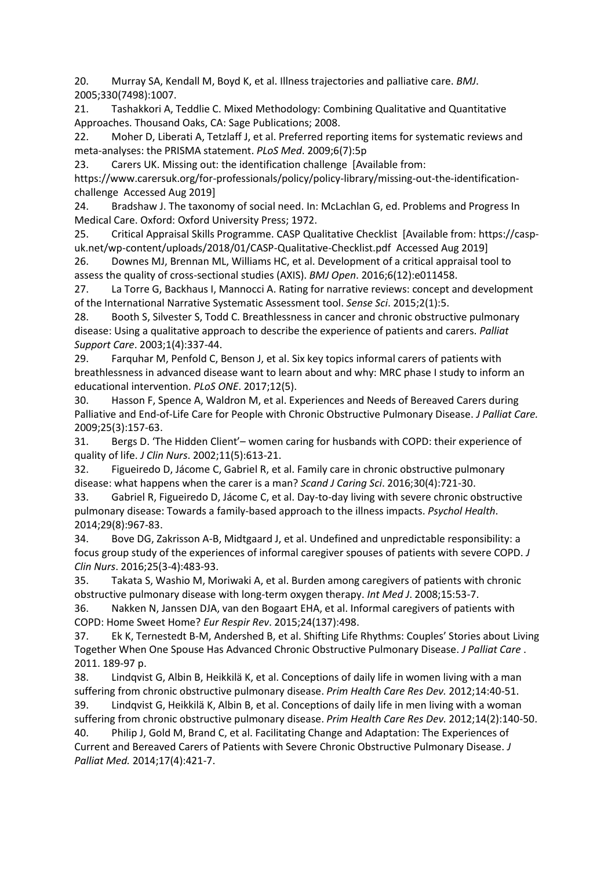20. Murray SA, Kendall M, Boyd K, et al. Illness trajectories and palliative care. *BMJ*. 2005;330(7498):1007.

21. Tashakkori A, Teddlie C. Mixed Methodology: Combining Qualitative and Quantitative Approaches. Thousand Oaks, CA: Sage Publications; 2008.

22. Moher D, Liberati A, Tetzlaff J, et al. Preferred reporting items for systematic reviews and meta-analyses: the PRISMA statement. *PLoS Med*. 2009;6(7):5p

23. Carers UK. Missing out: the identification challenge [Available from:

https://www.carersuk.org/for-professionals/policy/policy-library/missing-out-the-identificationchallenge Accessed Aug 2019]

24. Bradshaw J. The taxonomy of social need. In: McLachlan G, ed. Problems and Progress In Medical Care. Oxford: Oxford University Press; 1972.

25. Critical Appraisal Skills Programme. CASP Qualitative Checklist [Available from: https://caspuk.net/wp-content/uploads/2018/01/CASP-Qualitative-Checklist.pdf Accessed Aug 2019]

26. Downes MJ, Brennan ML, Williams HC, et al. Development of a critical appraisal tool to assess the quality of cross-sectional studies (AXIS). *BMJ Open*. 2016;6(12):e011458.

27. La Torre G, Backhaus I, Mannocci A. Rating for narrative reviews: concept and development of the International Narrative Systematic Assessment tool. *Sense Sci*. 2015;2(1):5.

28. Booth S, Silvester S, Todd C. Breathlessness in cancer and chronic obstructive pulmonary disease: Using a qualitative approach to describe the experience of patients and carers. *Palliat Support Care*. 2003;1(4):337-44.

29. Farquhar M, Penfold C, Benson J, et al. Six key topics informal carers of patients with breathlessness in advanced disease want to learn about and why: MRC phase I study to inform an educational intervention. *PLoS ONE*. 2017;12(5).

30. Hasson F, Spence A, Waldron M, et al. Experiences and Needs of Bereaved Carers during Palliative and End-of-Life Care for People with Chronic Obstructive Pulmonary Disease. *J Palliat Care.* 2009;25(3):157-63.

31. Bergs D. 'The Hidden Client'– women caring for husbands with COPD: their experience of quality of life. *J Clin Nurs*. 2002;11(5):613-21.

32. Figueiredo D, Jácome C, Gabriel R, et al. Family care in chronic obstructive pulmonary disease: what happens when the carer is a man? *Scand J Caring Sci*. 2016;30(4):721-30.

33. Gabriel R, Figueiredo D, Jácome C, et al. Day-to-day living with severe chronic obstructive pulmonary disease: Towards a family-based approach to the illness impacts. *Psychol Health*. 2014;29(8):967-83.

34. Bove DG, Zakrisson A-B, Midtgaard J, et al. Undefined and unpredictable responsibility: a focus group study of the experiences of informal caregiver spouses of patients with severe COPD. *J Clin Nurs*. 2016;25(3-4):483-93.

35. Takata S, Washio M, Moriwaki A, et al. Burden among caregivers of patients with chronic obstructive pulmonary disease with long-term oxygen therapy. *Int Med J*. 2008;15:53-7.

36. Nakken N, Janssen DJA, van den Bogaart EHA, et al. Informal caregivers of patients with COPD: Home Sweet Home? *Eur Respir Rev*. 2015;24(137):498.

37. Ek K, Ternestedt B-M, Andershed B, et al. Shifting Life Rhythms: Couples' Stories about Living Together When One Spouse Has Advanced Chronic Obstructive Pulmonary Disease. *J Palliat Care* . 2011. 189-97 p.

38. Lindqvist G, Albin B, Heikkilä K, et al. Conceptions of daily life in women living with a man suffering from chronic obstructive pulmonary disease. *Prim Health Care Res Dev.* 2012;14:40-51. 39. Lindqvist G, Heikkilä K, Albin B, et al. Conceptions of daily life in men living with a woman

suffering from chronic obstructive pulmonary disease. *Prim Health Care Res Dev.* 2012;14(2):140-50.

40. Philip J, Gold M, Brand C, et al. Facilitating Change and Adaptation: The Experiences of Current and Bereaved Carers of Patients with Severe Chronic Obstructive Pulmonary Disease. *J Palliat Med.* 2014;17(4):421-7.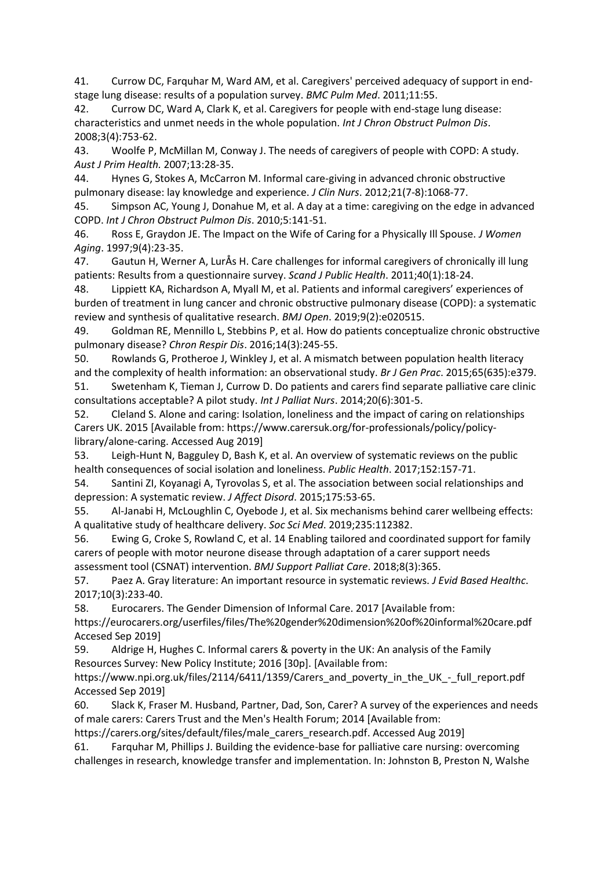41. Currow DC, Farquhar M, Ward AM, et al. Caregivers' perceived adequacy of support in endstage lung disease: results of a population survey. *BMC Pulm Med*. 2011;11:55.

42. Currow DC, Ward A, Clark K, et al. Caregivers for people with end-stage lung disease: characteristics and unmet needs in the whole population. *Int J Chron Obstruct Pulmon Dis*. 2008;3(4):753-62.

43. Woolfe P, McMillan M, Conway J. The needs of caregivers of people with COPD: A study*. Aust J Prim Health.* 2007;13:28-35.

44. Hynes G, Stokes A, McCarron M. Informal care-giving in advanced chronic obstructive pulmonary disease: lay knowledge and experience. *J Clin Nurs*. 2012;21(7‐8):1068-77.

45. Simpson AC, Young J, Donahue M, et al. A day at a time: caregiving on the edge in advanced COPD. *Int J Chron Obstruct Pulmon Dis*. 2010;5:141-51.

46. Ross E, Graydon JE. The Impact on the Wife of Caring for a Physically Ill Spouse. *J Women Aging*. 1997;9(4):23-35.

47. Gautun H, Werner A, LurÅs H. Care challenges for informal caregivers of chronically ill lung patients: Results from a questionnaire survey. *Scand J Public Health*. 2011;40(1):18-24.

48. Lippiett KA, Richardson A, Myall M, et al. Patients and informal caregivers' experiences of burden of treatment in lung cancer and chronic obstructive pulmonary disease (COPD): a systematic review and synthesis of qualitative research. *BMJ Open*. 2019;9(2):e020515.

49. Goldman RE, Mennillo L, Stebbins P, et al. How do patients conceptualize chronic obstructive pulmonary disease? *Chron Respir Dis*. 2016;14(3):245-55.

50. Rowlands G, Protheroe J, Winkley J, et al. A mismatch between population health literacy and the complexity of health information: an observational study. *Br J Gen Prac*. 2015;65(635):e379.

51. Swetenham K, Tieman J, Currow D. Do patients and carers find separate palliative care clinic consultations acceptable? A pilot study. *Int J Palliat Nurs*. 2014;20(6):301-5.

52. Cleland S. Alone and caring: Isolation, loneliness and the impact of caring on relationships Carers UK. 2015 [Available from: https://www.carersuk.org/for-professionals/policy/policylibrary/alone-caring. Accessed Aug 2019]

53. Leigh-Hunt N, Bagguley D, Bash K, et al. An overview of systematic reviews on the public health consequences of social isolation and loneliness. *Public Health*. 2017;152:157-71.

54. Santini ZI, Koyanagi A, Tyrovolas S, et al. The association between social relationships and depression: A systematic review. *J Affect Disord*. 2015;175:53-65.

55. Al-Janabi H, McLoughlin C, Oyebode J, et al. Six mechanisms behind carer wellbeing effects: A qualitative study of healthcare delivery. *Soc Sci Med*. 2019;235:112382.

56. Ewing G, Croke S, Rowland C, et al. 14 Enabling tailored and coordinated support for family carers of people with motor neurone disease through adaptation of a carer support needs assessment tool (CSNAT) intervention. *BMJ Support Palliat Care*. 2018;8(3):365.

57. Paez A. Gray literature: An important resource in systematic reviews. *J Evid Based Healthc*. 2017;10(3):233-40.

58. Eurocarers. The Gender Dimension of Informal Care. 2017 [Available from:

https://eurocarers.org/userfiles/files/The%20gender%20dimension%20of%20informal%20care.pdf Accesed Sep 2019]

59. Aldrige H, Hughes C. Informal carers & poverty in the UK: An analysis of the Family Resources Survey: New Policy Institute; 2016 [30p]. [Available from:

https://www.npi.org.uk/files/2114/6411/1359/Carers\_and\_poverty\_in\_the\_UK\_-\_full\_report.pdf Accessed Sep 2019]

60. Slack K, Fraser M. Husband, Partner, Dad, Son, Carer? A survey of the experiences and needs of male carers: Carers Trust and the Men's Health Forum; 2014 [Available from:

https://carers.org/sites/default/files/male\_carers\_research.pdf. Accessed Aug 2019]

61. Farquhar M, Phillips J. Building the evidence-base for palliative care nursing: overcoming challenges in research, knowledge transfer and implementation. In: Johnston B, Preston N, Walshe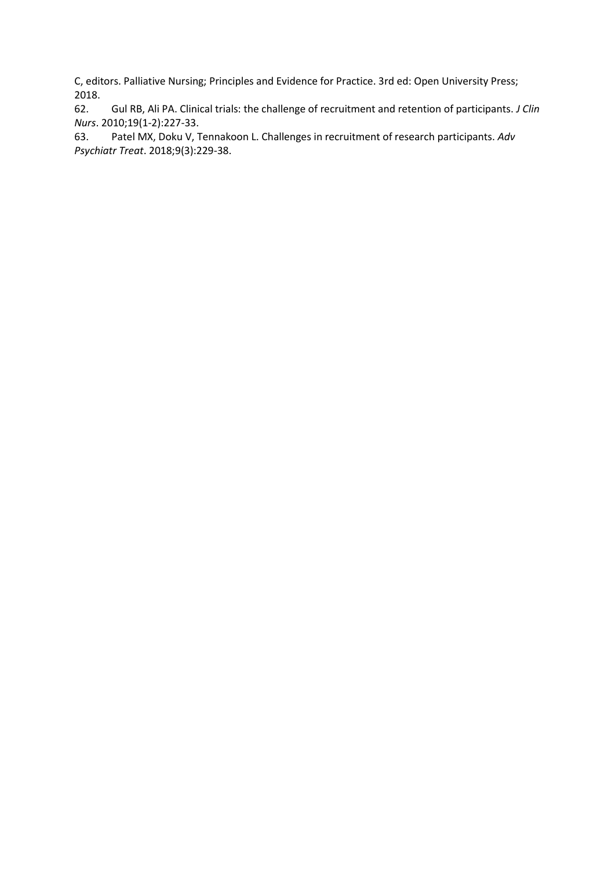C, editors. Palliative Nursing; Principles and Evidence for Practice. 3rd ed: Open University Press; 2018.<br>62.

62. Gul RB, Ali PA. Clinical trials: the challenge of recruitment and retention of participants. *J Clin Nurs*. 2010;19(1‐2):227-33.

63. Patel MX, Doku V, Tennakoon L. Challenges in recruitment of research participants. *Adv Psychiatr Treat*. 2018;9(3):229-38.